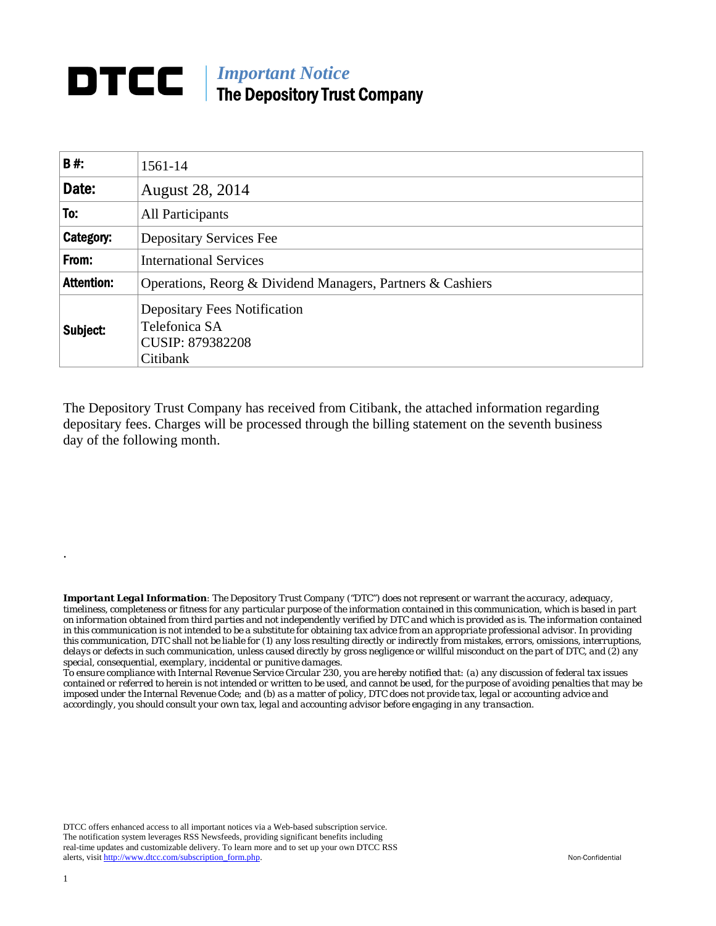## **DTCC** | *Important Notice* The Depository Trust Company

| B#:               | 1561-14                                                                                     |  |  |  |
|-------------------|---------------------------------------------------------------------------------------------|--|--|--|
| Date:             | <b>August 28, 2014</b>                                                                      |  |  |  |
| To:               | All Participants                                                                            |  |  |  |
| Category:         | <b>Depositary Services Fee</b>                                                              |  |  |  |
| From:             | <b>International Services</b>                                                               |  |  |  |
| <b>Attention:</b> | Operations, Reorg & Dividend Managers, Partners & Cashiers                                  |  |  |  |
| Subject:          | <b>Depositary Fees Notification</b><br>Telefonica SA<br><b>CUSIP: 879382208</b><br>Citibank |  |  |  |

The Depository Trust Company has received from Citibank, the attached information regarding depositary fees. Charges will be processed through the billing statement on the seventh business day of the following month.

*Important Legal Information: The Depository Trust Company ("DTC") does not represent or warrant the accuracy, adequacy, timeliness, completeness or fitness for any particular purpose of the information contained in this communication, which is based in part on information obtained from third parties and not independently verified by DTC and which is provided as is. The information contained in this communication is not intended to be a substitute for obtaining tax advice from an appropriate professional advisor. In providing this communication, DTC shall not be liable for (1) any loss resulting directly or indirectly from mistakes, errors, omissions, interruptions, delays or defects in such communication, unless caused directly by gross negligence or willful misconduct on the part of DTC, and (2) any special, consequential, exemplary, incidental or punitive damages.* 

*To ensure compliance with Internal Revenue Service Circular 230, you are hereby notified that: (a) any discussion of federal tax issues contained or referred to herein is not intended or written to be used, and cannot be used, for the purpose of avoiding penalties that may be imposed under the Internal Revenue Code; and (b) as a matter of policy, DTC does not provide tax, legal or accounting advice and accordingly, you should consult your own tax, legal and accounting advisor before engaging in any transaction.*

DTCC offers enhanced access to all important notices via a Web-based subscription service. The notification system leverages RSS Newsfeeds, providing significant benefits including real-time updates and customizable delivery. To learn more and to set up your own DTCC RSS alerts, visit http://www.dtcc.com/subscription\_form.php. Non-Confidential

.